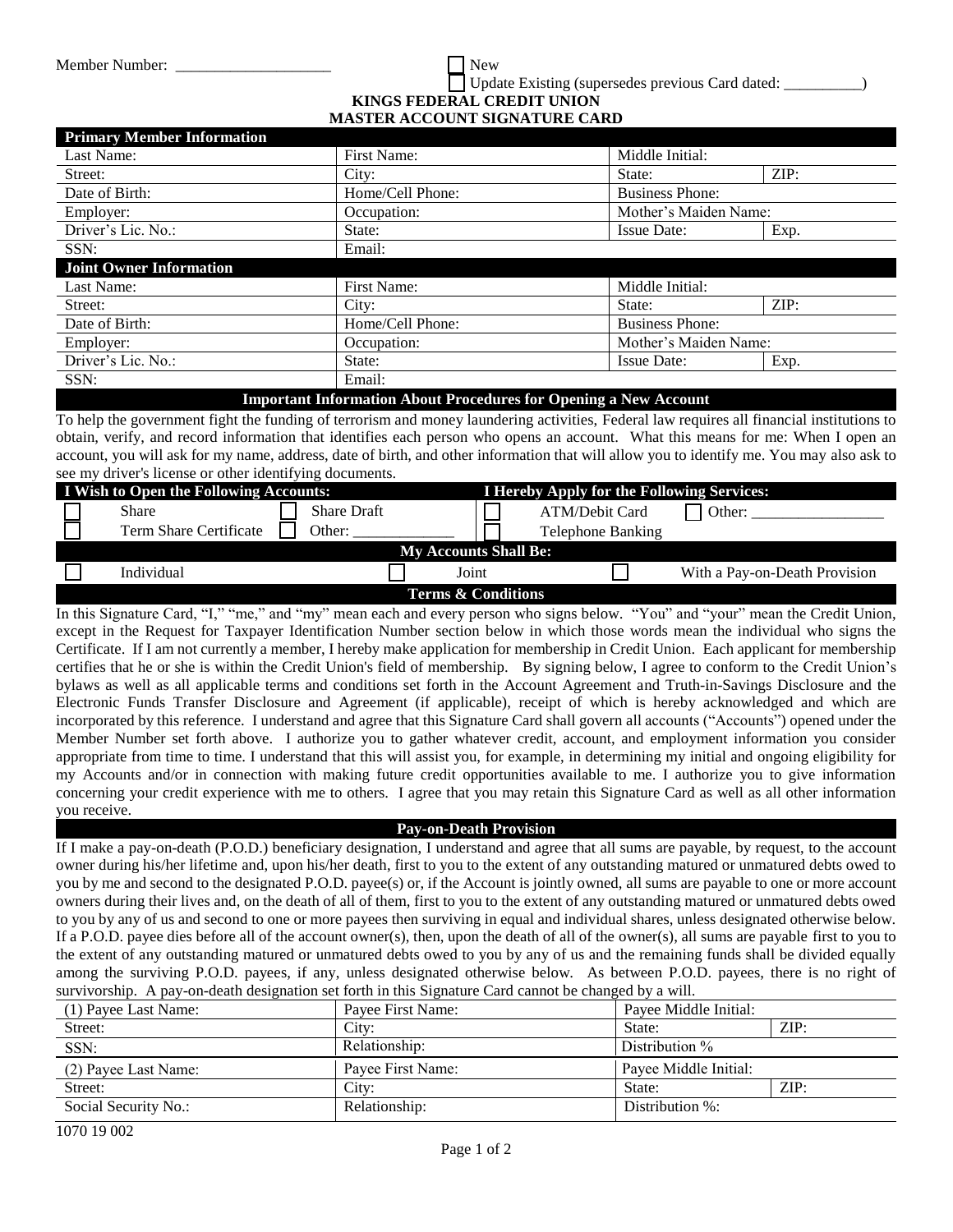Member Number:  $\blacksquare$  Update Existing (supersedes previous Card dated: \_\_\_\_\_\_\_\_\_\_) **KINGS FEDERAL CREDIT UNION MASTER ACCOUNT SIGNATURE CARD** 

| <b>Primary Member Information</b> |                  |                        |      |
|-----------------------------------|------------------|------------------------|------|
| Last Name:                        | First Name:      | Middle Initial:        |      |
| Street:                           | City:            | State:                 | ZIP: |
| Date of Birth:                    | Home/Cell Phone: | <b>Business Phone:</b> |      |
| Employer:                         | Occupation:      | Mother's Maiden Name:  |      |
| Driver's Lic. No.:                | State:           | <b>Issue Date:</b>     | Exp. |
| SSN:                              | Email:           |                        |      |
| <b>Joint Owner Information</b>    |                  |                        |      |
| Last Name:                        | First Name:      | Middle Initial:        |      |
| Street:                           | City:            | State:                 | ZIP: |
| Date of Birth:                    | Home/Cell Phone: | <b>Business Phone:</b> |      |
| Employer:                         | Occupation:      | Mother's Maiden Name:  |      |
| Driver's Lic. No.:                | State:           | <b>Issue Date:</b>     | Exp. |
| SSN:                              | Email:           |                        |      |

**Important Information About Procedures for Opening a New Account**

To help the government fight the funding of terrorism and money laundering activities, Federal law requires all financial institutions to obtain, verify, and record information that identifies each person who opens an account. What this means for me: When I open an account, you will ask for my name, address, date of birth, and other information that will allow you to identify me. You may also ask to see my driver's license or other identifying documents.

|                               | I Wish to Open the Following Accounts: |                    |       | <b>I Hereby Apply for the Following Services:</b> |                               |
|-------------------------------|----------------------------------------|--------------------|-------|---------------------------------------------------|-------------------------------|
|                               | Share                                  | <b>Share Draft</b> |       | ATM/Debit Card                                    | $\exists$ Other:              |
|                               | Term Share Certificate                 | Other:             |       | <b>Telephone Banking</b>                          |                               |
| <b>My Accounts Shall Be:</b>  |                                        |                    |       |                                                   |                               |
|                               | Individual                             |                    | Joint |                                                   | With a Pay-on-Death Provision |
| <b>Terms &amp; Conditions</b> |                                        |                    |       |                                                   |                               |

In this Signature Card, "I," "me," and "my" mean each and every person who signs below. "You" and "your" mean the Credit Union, except in the Request for Taxpayer Identification Number section below in which those words mean the individual who signs the Certificate. If I am not currently a member, I hereby make application for membership in Credit Union. Each applicant for membership certifies that he or she is within the Credit Union's field of membership. By signing below, I agree to conform to the Credit Union's bylaws as well as all applicable terms and conditions set forth in the Account Agreement and Truth-in-Savings Disclosure and the Electronic Funds Transfer Disclosure and Agreement (if applicable), receipt of which is hereby acknowledged and which are incorporated by this reference. I understand and agree that this Signature Card shall govern all accounts ("Accounts") opened under the Member Number set forth above. I authorize you to gather whatever credit, account, and employment information you consider appropriate from time to time. I understand that this will assist you, for example, in determining my initial and ongoing eligibility for my Accounts and/or in connection with making future credit opportunities available to me. I authorize you to give information concerning your credit experience with me to others. I agree that you may retain this Signature Card as well as all other information you receive.

## **Pay-on-Death Provision**

If I make a pay-on-death (P.O.D.) beneficiary designation, I understand and agree that all sums are payable, by request, to the account owner during his/her lifetime and, upon his/her death, first to you to the extent of any outstanding matured or unmatured debts owed to you by me and second to the designated P.O.D. payee(s) or, if the Account is jointly owned, all sums are payable to one or more account owners during their lives and, on the death of all of them, first to you to the extent of any outstanding matured or unmatured debts owed to you by any of us and second to one or more payees then surviving in equal and individual shares, unless designated otherwise below. If a P.O.D. payee dies before all of the account owner(s), then, upon the death of all of the owner(s), all sums are payable first to you to the extent of any outstanding matured or unmatured debts owed to you by any of us and the remaining funds shall be divided equally among the surviving P.O.D. payees, if any, unless designated otherwise below. As between P.O.D. payees, there is no right of survivorship. A pay-on-death designation set forth in this Signature Card cannot be changed by a will.

| (1) Payee Last Name: | Payee First Name: | Payee Middle Initial: |  |
|----------------------|-------------------|-----------------------|--|
| Street:              | City:             | ZIP:<br>State:        |  |
| SSN:                 | Relationship:     | Distribution $\%$     |  |
| (2) Payee Last Name: | Payee First Name: | Payee Middle Initial: |  |
| Street:              | City:             | ZIP:<br>State:        |  |
| Social Security No.: | Relationship:     | Distribution $\%$ :   |  |
|                      |                   |                       |  |